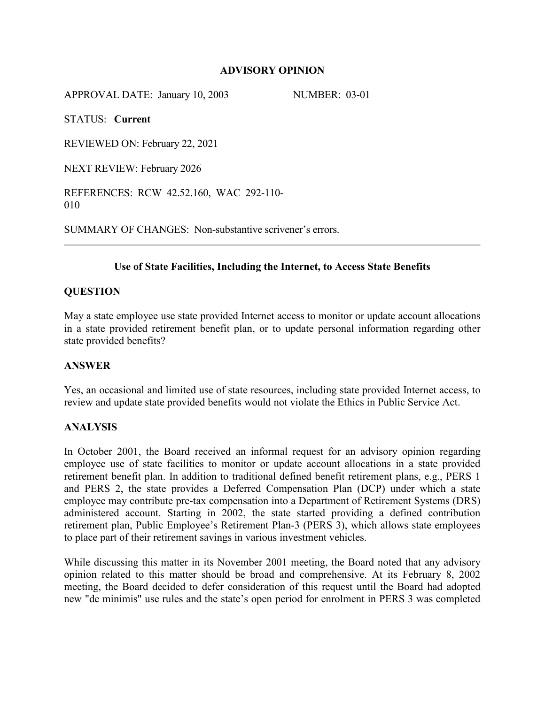#### **ADVISORY OPINION**

APPROVAL DATE: January 10, 2003 NUMBER: 03-01

STATUS: **Current**

REVIEWED ON: February 22, 2021

NEXT REVIEW: February 2026

REFERENCES: RCW 42.52.160, WAC 292-110- 010

SUMMARY OF CHANGES: Non-substantive scrivener's errors.

## **Use of State Facilities, Including the Internet, to Access State Benefits**

#### **QUESTION**

May a state employee use state provided Internet access to monitor or update account allocations in a state provided retirement benefit plan, or to update personal information regarding other state provided benefits?

#### **ANSWER**

Yes, an occasional and limited use of state resources, including state provided Internet access, to review and update state provided benefits would not violate the Ethics in Public Service Act.

#### **ANALYSIS**

In October 2001, the Board received an informal request for an advisory opinion regarding employee use of state facilities to monitor or update account allocations in a state provided retirement benefit plan. In addition to traditional defined benefit retirement plans, e.g., PERS 1 and PERS 2, the state provides a Deferred Compensation Plan (DCP) under which a state employee may contribute pre-tax compensation into a Department of Retirement Systems (DRS) administered account. Starting in 2002, the state started providing a defined contribution retirement plan, Public Employee's Retirement Plan-3 (PERS 3), which allows state employees to place part of their retirement savings in various investment vehicles.

While discussing this matter in its November 2001 meeting, the Board noted that any advisory opinion related to this matter should be broad and comprehensive. At its February 8, 2002 meeting, the Board decided to defer consideration of this request until the Board had adopted new "de minimis" use rules and the state's open period for enrolment in PERS 3 was completed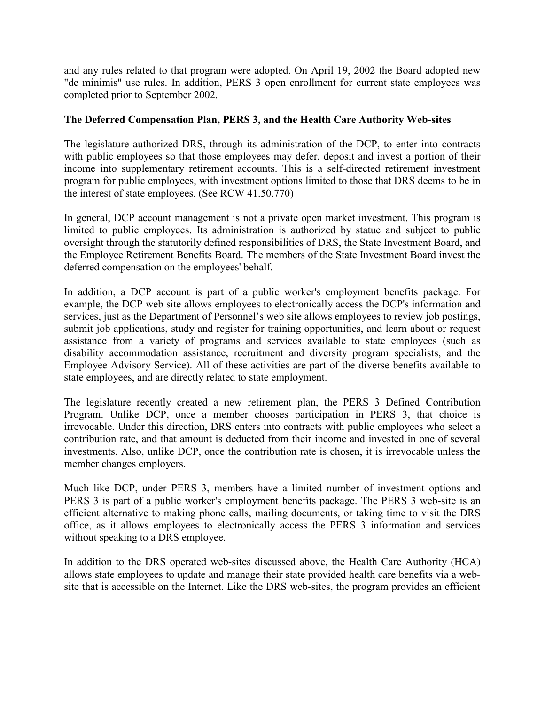and any rules related to that program were adopted. On April 19, 2002 the Board adopted new "de minimis" use rules. In addition, PERS 3 open enrollment for current state employees was completed prior to September 2002.

# **The Deferred Compensation Plan, PERS 3, and the Health Care Authority Web-sites**

The legislature authorized DRS, through its administration of the DCP, to enter into contracts with public employees so that those employees may defer, deposit and invest a portion of their income into supplementary retirement accounts. This is a self-directed retirement investment program for public employees, with investment options limited to those that DRS deems to be in the interest of state employees. (See RCW 41.50.770)

In general, DCP account management is not a private open market investment. This program is limited to public employees. Its administration is authorized by statue and subject to public oversight through the statutorily defined responsibilities of DRS, the State Investment Board, and the Employee Retirement Benefits Board. The members of the State Investment Board invest the deferred compensation on the employees' behalf.

In addition, a DCP account is part of a public worker's employment benefits package. For example, the DCP web site allows employees to electronically access the DCP's information and services, just as the Department of Personnel's web site allows employees to review job postings, submit job applications, study and register for training opportunities, and learn about or request assistance from a variety of programs and services available to state employees (such as disability accommodation assistance, recruitment and diversity program specialists, and the Employee Advisory Service). All of these activities are part of the diverse benefits available to state employees, and are directly related to state employment.

The legislature recently created a new retirement plan, the PERS 3 Defined Contribution Program. Unlike DCP, once a member chooses participation in PERS 3, that choice is irrevocable. Under this direction, DRS enters into contracts with public employees who select a contribution rate, and that amount is deducted from their income and invested in one of several investments. Also, unlike DCP, once the contribution rate is chosen, it is irrevocable unless the member changes employers.

Much like DCP, under PERS 3, members have a limited number of investment options and PERS 3 is part of a public worker's employment benefits package. The PERS 3 web-site is an efficient alternative to making phone calls, mailing documents, or taking time to visit the DRS office, as it allows employees to electronically access the PERS 3 information and services without speaking to a DRS employee.

In addition to the DRS operated web-sites discussed above, the Health Care Authority (HCA) allows state employees to update and manage their state provided health care benefits via a website that is accessible on the Internet. Like the DRS web-sites, the program provides an efficient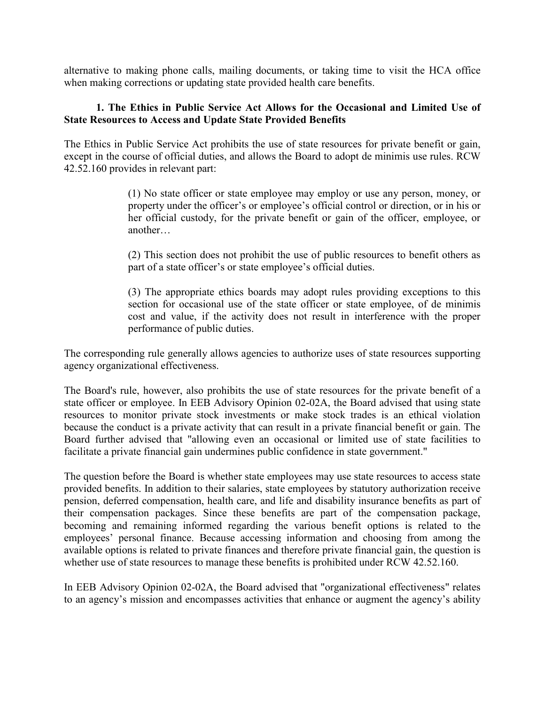alternative to making phone calls, mailing documents, or taking time to visit the HCA office when making corrections or updating state provided health care benefits.

## **1. The Ethics in Public Service Act Allows for the Occasional and Limited Use of State Resources to Access and Update State Provided Benefits**

The Ethics in Public Service Act prohibits the use of state resources for private benefit or gain, except in the course of official duties, and allows the Board to adopt de minimis use rules. RCW 42.52.160 provides in relevant part:

> (1) No state officer or state employee may employ or use any person, money, or property under the officer's or employee's official control or direction, or in his or her official custody, for the private benefit or gain of the officer, employee, or another…

> (2) This section does not prohibit the use of public resources to benefit others as part of a state officer's or state employee's official duties.

> (3) The appropriate ethics boards may adopt rules providing exceptions to this section for occasional use of the state officer or state employee, of de minimis cost and value, if the activity does not result in interference with the proper performance of public duties.

The corresponding rule generally allows agencies to authorize uses of state resources supporting agency organizational effectiveness.

The Board's rule, however, also prohibits the use of state resources for the private benefit of a state officer or employee. In EEB Advisory Opinion 02-02A, the Board advised that using state resources to monitor private stock investments or make stock trades is an ethical violation because the conduct is a private activity that can result in a private financial benefit or gain. The Board further advised that "allowing even an occasional or limited use of state facilities to facilitate a private financial gain undermines public confidence in state government."

The question before the Board is whether state employees may use state resources to access state provided benefits. In addition to their salaries, state employees by statutory authorization receive pension, deferred compensation, health care, and life and disability insurance benefits as part of their compensation packages. Since these benefits are part of the compensation package, becoming and remaining informed regarding the various benefit options is related to the employees' personal finance. Because accessing information and choosing from among the available options is related to private finances and therefore private financial gain, the question is whether use of state resources to manage these benefits is prohibited under RCW 42.52.160.

In EEB Advisory Opinion 02-02A, the Board advised that "organizational effectiveness" relates to an agency's mission and encompasses activities that enhance or augment the agency's ability